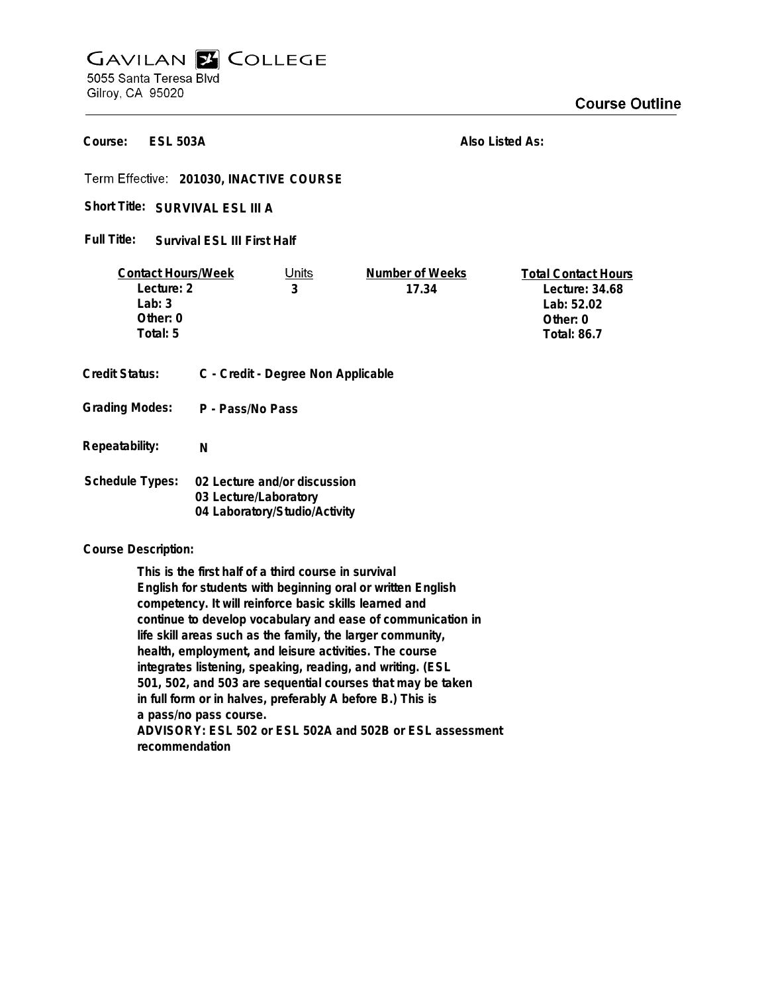## **GAVILAN E COLLEGE** 5055 Santa Teresa Blvd

Gilroy, CA 95020

**ESL 503A Course:**

**Also Listed As:**

**201030, INACTIVE COURSE**

Short Title: SURVIVAL ESL III A

**Survival ESL III First Half Full Title:**

| <b>Contact Hours/Week</b><br>Lecture: 2<br>Lab: $3$<br>Other: $0$<br>Total: 5 |                                                                                        | Units<br>3 | Number of Weeks<br>17.34 | <b>Total Contact Hours</b><br>Lecture: 34.68<br>Lab: 52.02<br>Other: 0<br><b>Total: 86.7</b> |
|-------------------------------------------------------------------------------|----------------------------------------------------------------------------------------|------------|--------------------------|----------------------------------------------------------------------------------------------|
| Credit Status:                                                                | C - Credit - Degree Non Applicable                                                     |            |                          |                                                                                              |
| <b>Grading Modes:</b>                                                         | P - Pass/No Pass                                                                       |            |                          |                                                                                              |
| Repeatability:                                                                | N                                                                                      |            |                          |                                                                                              |
| Schedule Types:                                                               | 02 Lecture and/or discussion<br>03 Lecture/Laboratory<br>04 Laboratory/Studio/Activity |            |                          |                                                                                              |

**Course Description:**

**This is the first half of a third course in survival English for students with beginning oral or written English competency. It will reinforce basic skills learned and continue to develop vocabulary and ease of communication in life skill areas such as the family, the larger community, health, employment, and leisure activities. The course integrates listening, speaking, reading, and writing. (ESL 501, 502, and 503 are sequential courses that may be taken in full form or in halves, preferably A before B.) This is a pass/no pass course. ADVISORY: ESL 502 or ESL 502A and 502B or ESL assessment recommendation**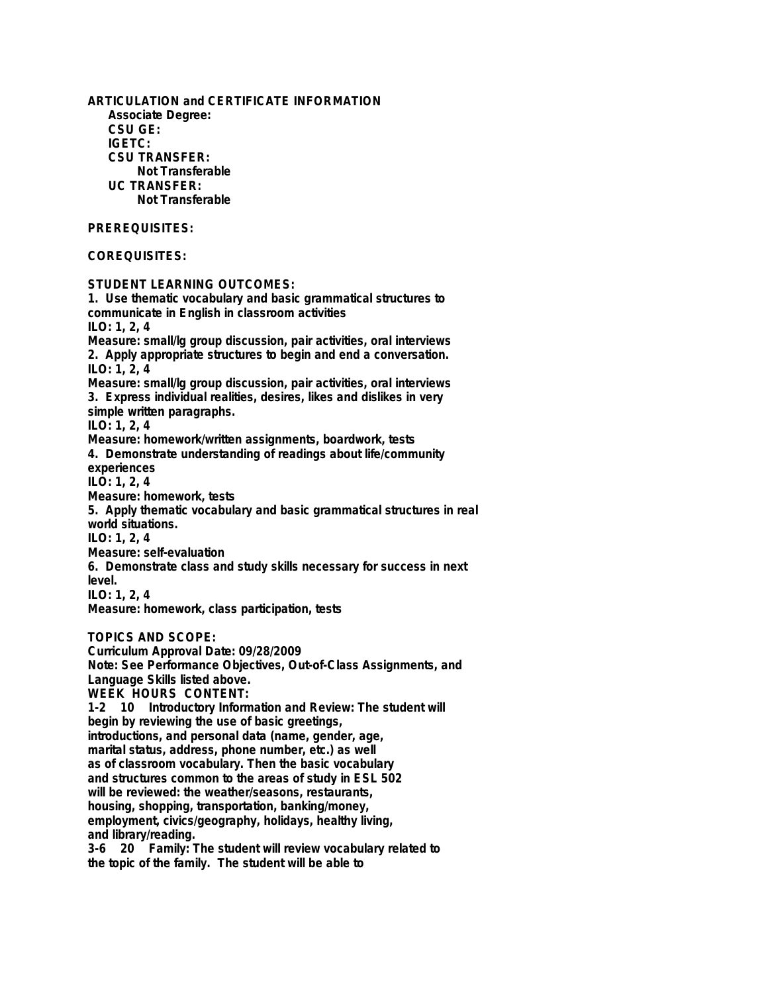**ARTICULATION and CERTIFICATE INFORMATION Associate Degree: CSU GE: IGETC: CSU TRANSFER: Not Transferable UC TRANSFER: Not Transferable PREREQUISITES: COREQUISITES: STUDENT LEARNING OUTCOMES: 1. Use thematic vocabulary and basic grammatical structures to communicate in English in classroom activities ILO: 1, 2, 4 Measure: small/lg group discussion, pair activities, oral interviews 2. Apply appropriate structures to begin and end a conversation. ILO: 1, 2, 4 Measure: small/lg group discussion, pair activities, oral interviews 3. Express individual realities, desires, likes and dislikes in very simple written paragraphs. ILO: 1, 2, 4 Measure: homework/written assignments, boardwork, tests 4. Demonstrate understanding of readings about life/community experiences ILO: 1, 2, 4 Measure: homework, tests 5. Apply thematic vocabulary and basic grammatical structures in real world situations. ILO: 1, 2, 4 Measure: self-evaluation 6. Demonstrate class and study skills necessary for success in next level. ILO: 1, 2, 4 Measure: homework, class participation, tests TOPICS AND SCOPE: Curriculum Approval Date: 09/28/2009 Note: See Performance Objectives, Out-of-Class Assignments, and Language Skills listed above. WEEK HOURS CONTENT: 1-2 10 Introductory Information and Review: The student will begin by reviewing the use of basic greetings, introductions, and personal data (name, gender, age, marital status, address, phone number, etc.) as well as of classroom vocabulary. Then the basic vocabulary and structures common to the areas of study in ESL 502 will be reviewed: the weather/seasons, restaurants, housing, shopping, transportation, banking/money, employment, civics/geography, holidays, healthy living, and library/reading. 3-6 20 Family: The student will review vocabulary related to the topic of the family. The student will be able to**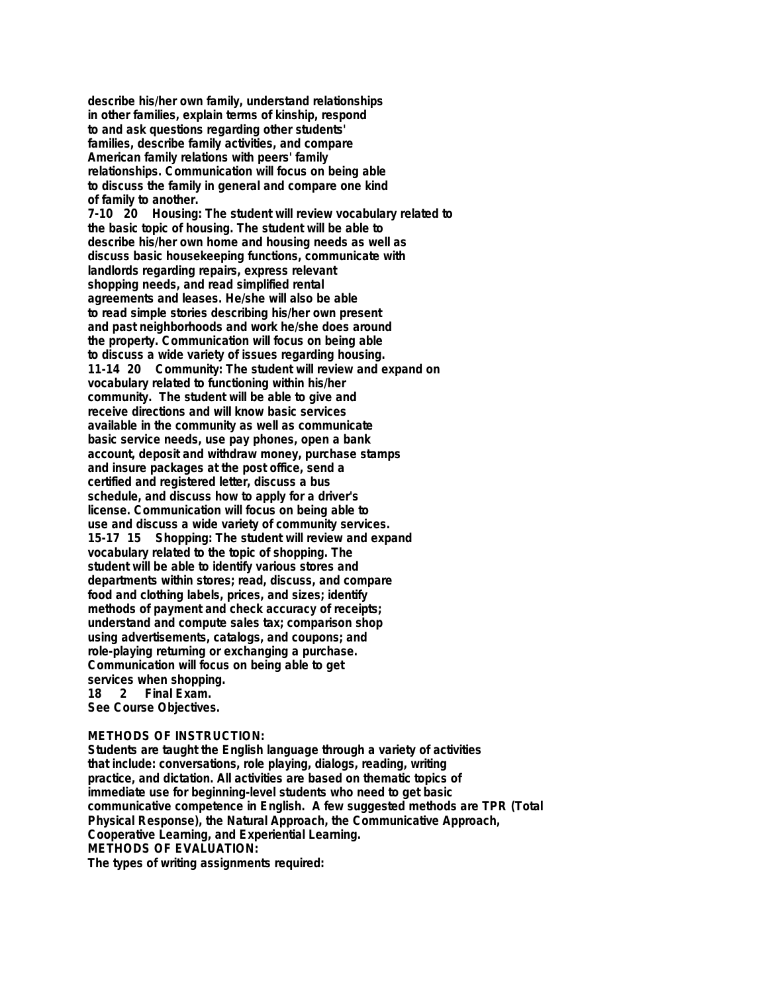**describe his/her own family, understand relationships in other families, explain terms of kinship, respond to and ask questions regarding other students' families, describe family activities, and compare American family relations with peers' family relationships. Communication will focus on being able to discuss the family in general and compare one kind of family to another.**

**7-10 20 Housing: The student will review vocabulary related to the basic topic of housing. The student will be able to describe his/her own home and housing needs as well as discuss basic housekeeping functions, communicate with landlords regarding repairs, express relevant shopping needs, and read simplified rental agreements and leases. He/she will also be able to read simple stories describing his/her own present and past neighborhoods and work he/she does around the property. Communication will focus on being able to discuss a wide variety of issues regarding housing. 11-14 20 Community: The student will review and expand on vocabulary related to functioning within his/her community. The student will be able to give and receive directions and will know basic services available in the community as well as communicate basic service needs, use pay phones, open a bank account, deposit and withdraw money, purchase stamps and insure packages at the post office, send a certified and registered letter, discuss a bus schedule, and discuss how to apply for a driver's license. Communication will focus on being able to use and discuss a wide variety of community services. 15-17 15 Shopping: The student will review and expand vocabulary related to the topic of shopping. The student will be able to identify various stores and departments within stores; read, discuss, and compare food and clothing labels, prices, and sizes; identify methods of payment and check accuracy of receipts; understand and compute sales tax; comparison shop using advertisements, catalogs, and coupons; and role-playing returning or exchanging a purchase. Communication will focus on being able to get services when shopping. 18 2 Final Exam. See Course Objectives.**

**METHODS OF INSTRUCTION: Students are taught the English language through a variety of activities that include: conversations, role playing, dialogs, reading, writing practice, and dictation. All activities are based on thematic topics of immediate use for beginning-level students who need to get basic communicative competence in English. A few suggested methods are TPR (Total Physical Response), the Natural Approach, the Communicative Approach, Cooperative Learning, and Experiential Learning. METHODS OF EVALUATION: The types of writing assignments required:**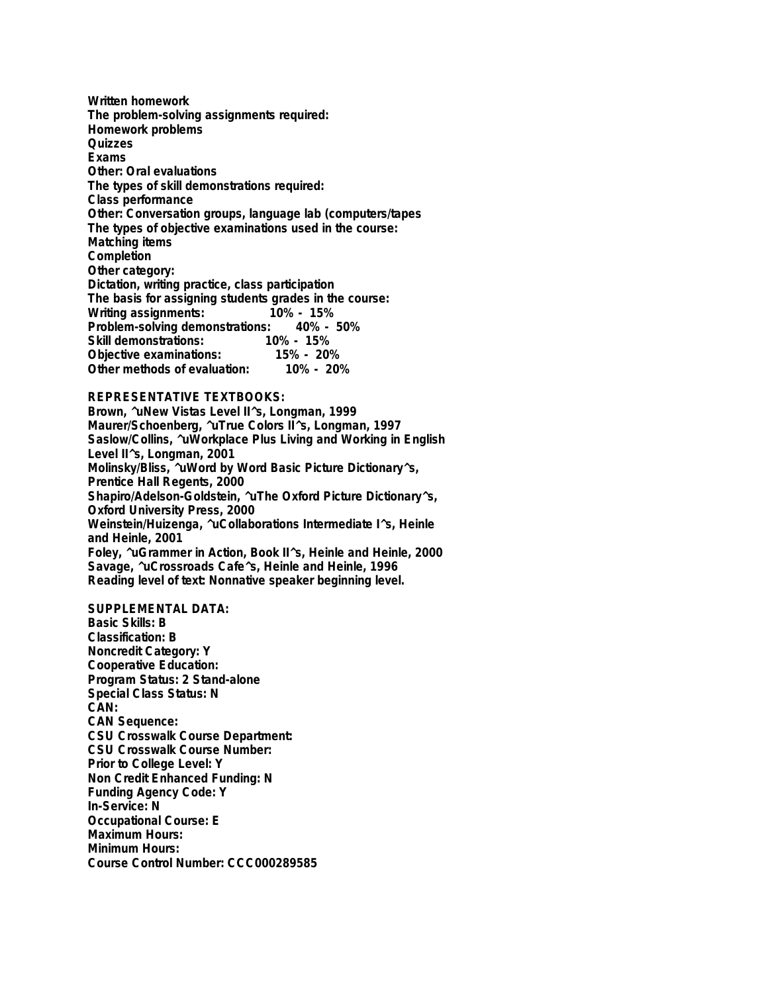**Written homework The problem-solving assignments required: Homework problems Quizzes Exams Other: Oral evaluations The types of skill demonstrations required: Class performance Other: Conversation groups, language lab (computers/tapes The types of objective examinations used in the course: Matching items Completion Other category: Dictation, writing practice, class participation The basis for assigning students grades in the course: Writing assignments: 10% - 15% Problem-solving demonstrations: Skill demonstrations: 10% - 15% Objective examinations: 15% - 20% Other methods of evaluation:** 

## **REPRESENTATIVE TEXTBOOKS:**

**Brown, ^uNew Vistas Level II^s, Longman, 1999 Maurer/Schoenberg, ^uTrue Colors II^s, Longman, 1997 Saslow/Collins, ^uWorkplace Plus Living and Working in English Level II^s, Longman, 2001 Molinsky/Bliss, ^uWord by Word Basic Picture Dictionary^s, Prentice Hall Regents, 2000 Shapiro/Adelson-Goldstein, ^uThe Oxford Picture Dictionary^s, Oxford University Press, 2000 Weinstein/Huizenga, ^uCollaborations Intermediate I^s, Heinle and Heinle, 2001 Foley, ^uGrammer in Action, Book II^s, Heinle and Heinle, 2000 Savage, ^uCrossroads Cafe^s, Heinle and Heinle, 1996 Reading level of text: Nonnative speaker beginning level.**

**SUPPLEMENTAL DATA: Basic Skills: B Classification: B Noncredit Category: Y Cooperative Education: Program Status: 2 Stand-alone Special Class Status: N CAN: CAN Sequence: CSU Crosswalk Course Department: CSU Crosswalk Course Number: Prior to College Level: Y Non Credit Enhanced Funding: N Funding Agency Code: Y In-Service: N Occupational Course: E Maximum Hours: Minimum Hours: Course Control Number: CCC000289585**